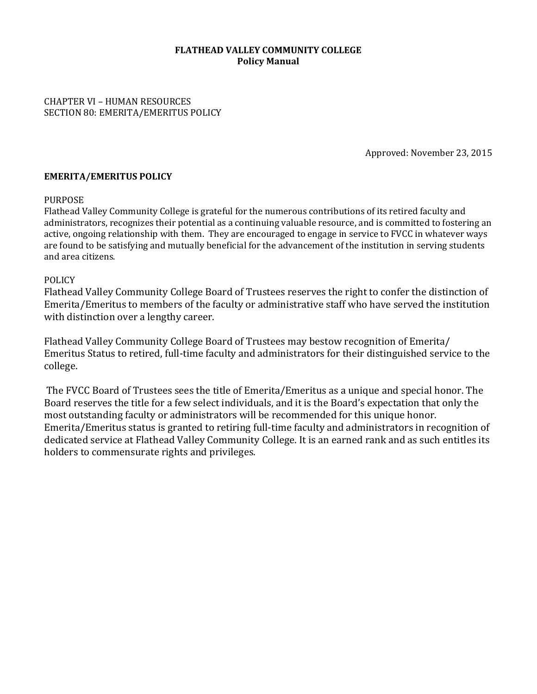### **FLATHEAD VALLEY COMMUNITY COLLEGE Policy Manual**

CHAPTER VI – HUMAN RESOURCES SECTION 80: EMERITA/EMERITUS POLICY

Approved: November 23, 2015

### **EMERITA/EMERITUS POLICY**

### PURPOSE

Flathead Valley Community College is grateful for the numerous contributions of its retired faculty and administrators, recognizes their potential as a continuing valuable resource, and is committed to fostering an active, ongoing relationship with them. They are encouraged to engage in service to FVCC in whatever ways are found to be satisfying and mutually beneficial for the advancement of the institution in serving students and area citizens.

### POLICY

Flathead Valley Community College Board of Trustees reserves the right to confer the distinction of Emerita/Emeritus to members of the faculty or administrative staff who have served the institution with distinction over a lengthy career.

Flathead Valley Community College Board of Trustees may bestow recognition of Emerita/ Emeritus Status to retired, full-time faculty and administrators for their distinguished service to the college. 

The FVCC Board of Trustees sees the title of Emerita/Emeritus as a unique and special honor. The Board reserves the title for a few select individuals, and it is the Board's expectation that only the most outstanding faculty or administrators will be recommended for this unique honor. Emerita/Emeritus status is granted to retiring full-time faculty and administrators in recognition of dedicated service at Flathead Valley Community College. It is an earned rank and as such entitles its holders to commensurate rights and privileges.